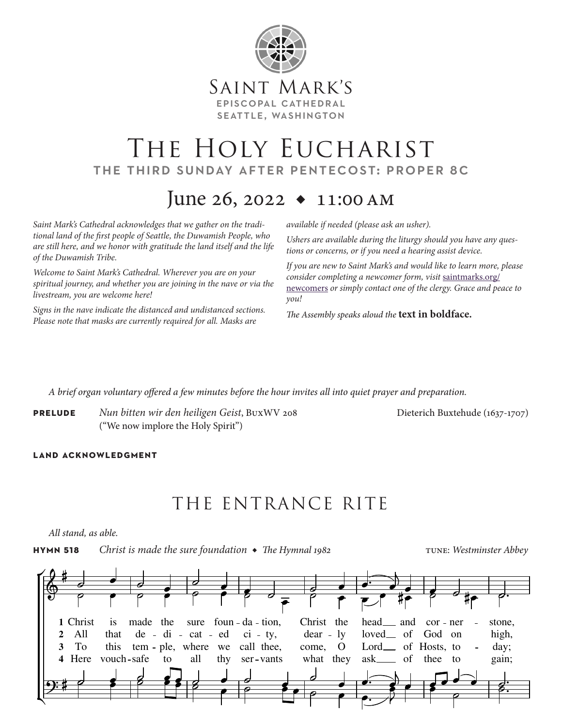

# THE HOLY EUCHARIST the third sunday after pentecost: proper 8c

# June 26, 2022  $\bullet$  11:00 AM

*Saint Mark's Cathedral acknowledges that we gather on the traditional land of the first people of Seattle, the Duwamish People, who are still here, and we honor with gratitude the land itself and the life of the Duwamish Tribe.* 

*Welcome to Saint Mark's Cathedral. Wherever you are on your spiritual journey, and whether you are joining in the nave or via the livestream, you are welcome here!*

*Signs in the nave indicate the distanced and undistanced sections. Please note that masks are currently required for all. Masks are* 

*available if needed (please ask an usher).*

*Ushers are available during the liturgy should you have any questions or concerns, or if you need a hearing assist device.*

*If you are new to Saint Mark's and would like to learn more, please consider completing a newcomer form, visit* saintmarks.org/ newcomers *or simply contact one of the clergy. Grace and peace to you!*

*The Assembly speaks aloud the* **text in boldface.**

*A brief organ voluntary offered a few minutes before the hour invites all into quiet prayer and preparation.*

**prelude** *Nun bitten wir den heiligen Geist*, BuxWV 208 Dieterich Buxtehude (1637-1707) ("We now implore the Holy Spirit")

# **land acknowledgment**

# THE ENTRANCE RITE

*All stand, as able.*

**hymn 518** Christ is made the sure foundation ◆ *The Hymnal 1982* TUNE: *Westminster Abbey* 

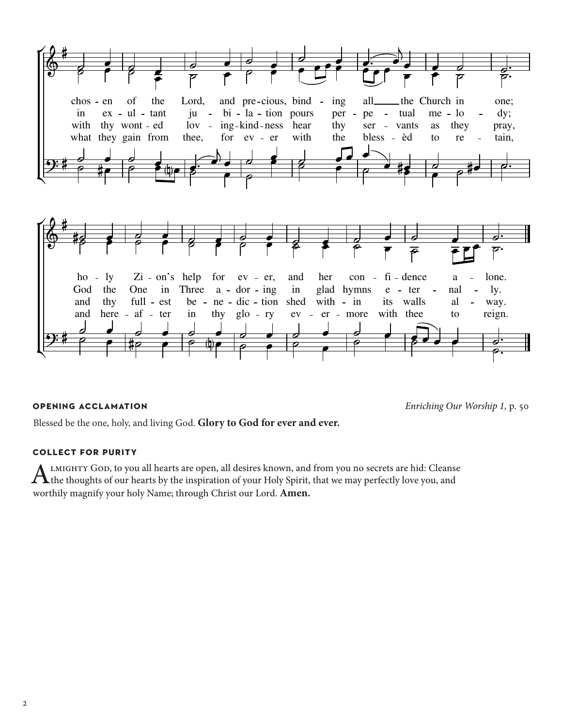

**opening acclamation** *Enriching Our Worship 1,* p. 50

Blessed be the one, holy, and living God. **Glory to God for ever and ever.**

# **collect for purity**

ALMIGHTY GOD, to you all hearts are open, all desires known, and from you no secrets are hid: Cleanse<br>the thoughts of our hearts by the inspiration of your Holy Spirit, that we may perfectly love you, and worthily magnify your holy Name; through Christ our Lord. **Amen.**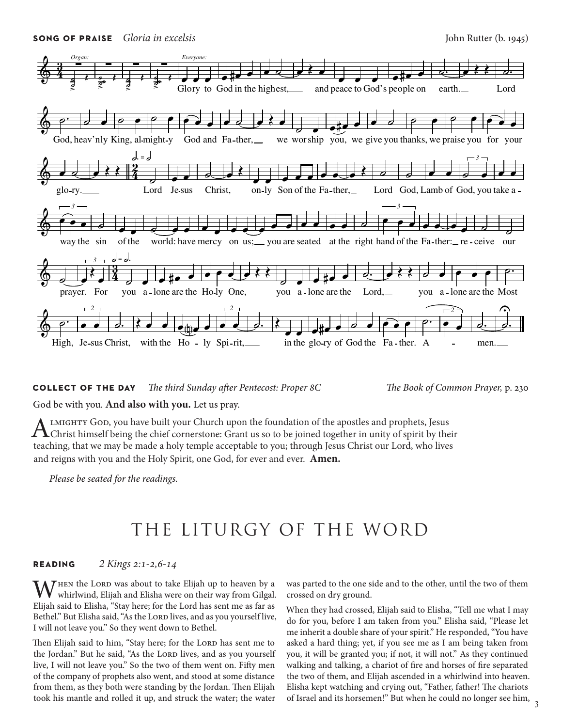**song of praise** *Gloria in excelsis* John Rutter (b. 1945)



### **collect of the day** *The third Sunday after Pentecost: Proper 8C The Book of Common Prayer,* p. 230

God be with you. **And also with you.** Let us pray.

ALMIGHTY GOD, you have built your Church upon the foundation of the apostles and prophets, Jesus<br>Christ himself being the chief cornerstone: Grant us so to be joined together in unity of spirit by their teaching, that we may be made a holy temple acceptable to you; through Jesus Christ our Lord, who lives and reigns with you and the Holy Spirit, one God, for ever and ever. **Amen.**

*Please be seated for the readings.*

# THE LITURGY OF THE WORD

### **reading** *2 Kings 2:1-2,6-14*

THEN the LORD was about to take Elijah up to heaven by a whirlwind, Elijah and Elisha were on their way from Gilgal. Elijah said to Elisha, "Stay here; for the Lord has sent me as far as Bethel." But Elisha said, "As the LORD lives, and as you yourself live, I will not leave you." So they went down to Bethel.

Then Elijah said to him, "Stay here; for the LORD has sent me to the Jordan." But he said, "As the LORD lives, and as you yourself live, I will not leave you." So the two of them went on. Fifty men of the company of prophets also went, and stood at some distance from them, as they both were standing by the Jordan. Then Elijah took his mantle and rolled it up, and struck the water; the water

was parted to the one side and to the other, until the two of them crossed on dry ground.

of Israel and its horsemen!" But when he could no longer see him,  $\frac{3}{3}$ When they had crossed, Elijah said to Elisha, "Tell me what I may do for you, before I am taken from you." Elisha said, "Please let me inherit a double share of your spirit." He responded, "You have asked a hard thing; yet, if you see me as I am being taken from you, it will be granted you; if not, it will not." As they continued walking and talking, a chariot of fire and horses of fire separated the two of them, and Elijah ascended in a whirlwind into heaven. Elisha kept watching and crying out, "Father, father! The chariots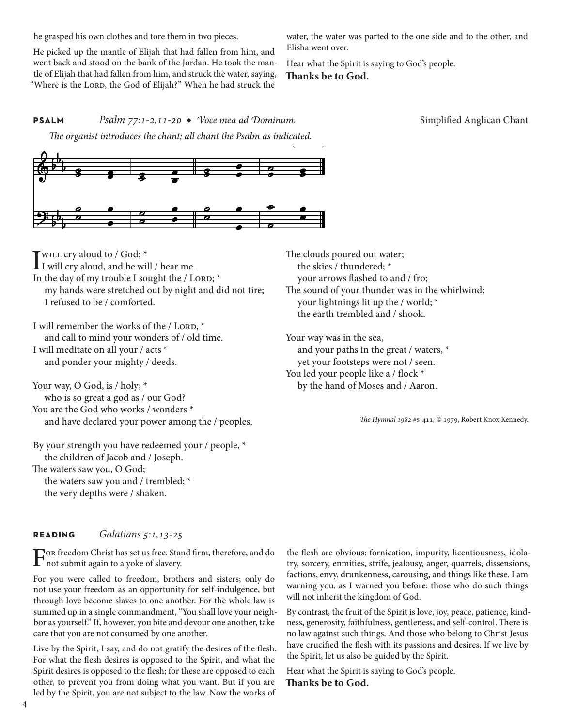he grasped his own clothes and tore them in two pieces.

water, the water was parted to the one side and to the other, and Elisha went over.

He picked up the mantle of Elijah that had fallen from him, and went back and stood on the bank of the Jordan. He took the mantle of Elijah that had fallen from him, and struck the water, saying, "Where is the LORD, the God of Elijah?" When he had struck the

Hear what the Spirit is saying to God's people. **Thanks be to God.**

# **PSALM** *Psalm 77:1-2,11-20* • *Voce mea ad Dominum* Simplified Anglican Chant

*The organist introduces the chant; all chant the Psalm as indicated.*



 $\prod_{i=1}^{\infty} \text{Will crya} \text{ loud} \text{and} \text{ } \text{I} \text{ will } \text{'} \text{ hear me.}$ In the day of my trouble I sought the / LORD; \* my hands were stretched out by night and did not tire; The sound of your thunder was i I refused to be / comforted. I refused to be / comforted. This sought world; the vermission is granted to include the vermission of songs. No other permission or some permission of songs. No other permanent collection of songs. No other permission of for discussed to be, confidence. When  $\frac{1}{2}$  corresponding by the publishers for the publishers for the publishers for the publishers for the publishers for the publishers for the publishers for the publishers for the p

I will remember the works of the / LORD, \* and call to mind your wonders of / old time. Your way was in the sea, I will meditate on all your / acts  $*$ and ponder your mighty / deeds.

Your way, O God, is / holy; \* who is so great a god as / our God? You are the God who works / wonders  $*$ and have declared your power among the / peoples.

By your strength you have redeemed your / people, \* the children of Jacob and / Joseph.

The waters saw you, O God;

 the waters saw you and / trembled; \* the very depths were / shaken.

# **reading** *Galatians 5:1,13-25*

 $\mathbf F$  or freedom Christ has set us free. Stand firm, therefore, and do not submit again to a yoke of slavery.

For you were called to freedom, brothers and sisters; only do not use your freedom as an opportunity for self-indulgence, but through love become slaves to one another. For the whole law is summed up in a single commandment, "You shall love your neighbor as yourself." If, however, you bite and devour one another, take care that you are not consumed by one another.

Live by the Spirit, I say, and do not gratify the desires of the flesh. For what the flesh desires is opposed to the Spirit, and what the Spirit desires is opposed to the flesh; for these are opposed to each other, to prevent you from doing what you want. But if you are led by the Spirit, you are not subject to the law. Now the works of

The clouds poured out water; the skies / thundered; \* your arrows flashed to and / fro; The sound of your thunder was in the whirlwind; the earth trembled and / shook.

Your way was in the sea, and your paths in the great / waters, \* yet your footsteps were not / seen. You led your people like a / flock \* by the hand of Moses and / Aaron.

*The Hymnal 1982* #s-411*;* © 1979, Robert Knox Kennedy.

the flesh are obvious: fornication, impurity, licentiousness, idolatry, sorcery, enmities, strife, jealousy, anger, quarrels, dissensions, factions, envy, drunkenness, carousing, and things like these. I am warning you, as I warned you before: those who do such things will not inherit the kingdom of God.

By contrast, the fruit of the Spirit is love, joy, peace, patience, kindness, generosity, faithfulness, gentleness, and self-control. There is no law against such things. And those who belong to Christ Jesus have crucified the flesh with its passions and desires. If we live by the Spirit, let us also be guided by the Spirit.

Hear what the Spirit is saying to God's people.

**Thanks be to God.**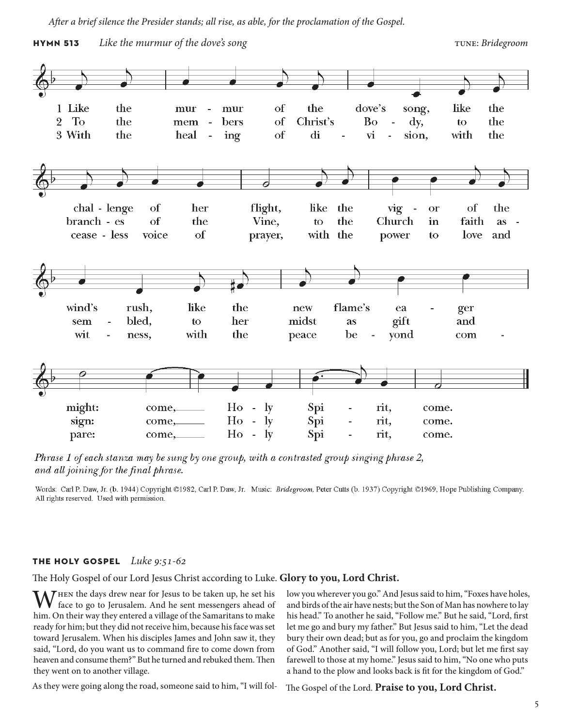*After a brief silence the Presider stands; all rise, as able, for the proclamation of the Gospel.*





Phrase 1 of each stanza may be sung by one group, with a contrasted group singing phrase 2, and all joining for the final phrase.

Words: Carl P. Daw, Jr. (b. 1944) Copyright ©1982, Carl P. Daw, Jr. Music: Bridegroom, Peter Cutts (b. 1937) Copyright ©1969, Hope Publishing Company. All rights reserved. Used with permission.

# **the holy gospel** *Luke 9:51-62*

The Holy Gospel of our Lord Jesus Christ according to Luke. **Glory to you, Lord Christ.**

 $\bigvee$  HEN the days drew near for Jesus to be taken up, he set his face to go to Jerusalem. And he sent messengers ahead of him. On their way they entered a village of the Samaritans to make ready for him; but they did not receive him, because his face was set toward Jerusalem. When his disciples James and John saw it, they said, "Lord, do you want us to command fire to come down from heaven and consume them?" But he turned and rebuked them. Then they went on to another village.

As they were going along the road, someone said to him, "I will fol-

low you wherever you go." And Jesus said to him, "Foxes have holes, and birds of the air have nests; but the Son of Man has nowhere to lay his head." To another he said, "Follow me." But he said, "Lord, first let me go and bury my father." But Jesus said to him, "Let the dead bury their own dead; but as for you, go and proclaim the kingdom of God." Another said, "I will follow you, Lord; but let me first say farewell to those at my home." Jesus said to him, "No one who puts a hand to the plow and looks back is fit for the kingdom of God."

The Gospel of the Lord. **Praise to you, Lord Christ.**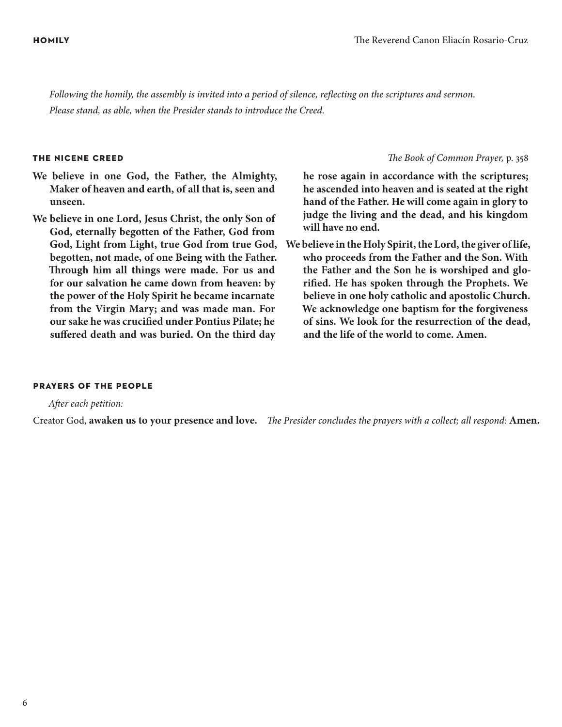*Following the homily, the assembly is invited into a period of silence, reflecting on the scriptures and sermon. Please stand, as able, when the Presider stands to introduce the Creed.*

- **We believe in one God, the Father, the Almighty, Maker of heaven and earth, of all that is, seen and unseen.**
- **We believe in one Lord, Jesus Christ, the only Son of God, eternally begotten of the Father, God from God, Light from Light, true God from true God, begotten, not made, of one Being with the Father. Through him all things were made. For us and for our salvation he came down from heaven: by the power of the Holy Spirit he became incarnate from the Virgin Mary; and was made man. For our sake he was crucified under Pontius Pilate; he suffered death and was buried. On the third day**

## **the nicene creed** *The Book of Common Prayer,* p. 358

**he rose again in accordance with the scriptures; he ascended into heaven and is seated at the right hand of the Father. He will come again in glory to judge the living and the dead, and his kingdom will have no end.**

**We believe in the Holy Spirit, the Lord, the giver of life, who proceeds from the Father and the Son. With the Father and the Son he is worshiped and glorified. He has spoken through the Prophets. We believe in one holy catholic and apostolic Church. We acknowledge one baptism for the forgiveness of sins. We look for the resurrection of the dead, and the life of the world to come. Amen.**

# **prayers of the people**

## *After each petition:*

Creator God, **awaken us to your presence and love.** *The Presider concludes the prayers with a collect; all respond:* **Amen.**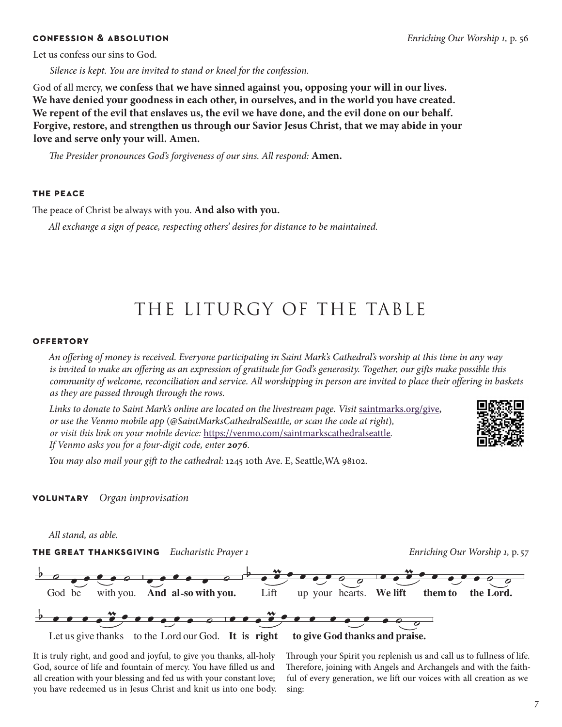### **confession & absolution** *Enriching Our Worship 1,* p. 56

Let us confess our sins to God.

*Silence is kept. You are invited to stand or kneel for the confession.*

God of all mercy, **we confess that we have sinned against you, opposing your will in our lives. We have denied your goodness in each other, in ourselves, and in the world you have created. We repent of the evil that enslaves us, the evil we have done, and the evil done on our behalf. Forgive, restore, and strengthen us through our Savior Jesus Christ, that we may abide in your love and serve only your will. Amen.**

*The Presider pronounces God's forgiveness of our sins. All respond:* **Amen.**

# **the peace**

The peace of Christ be always with you. **And also with you.**

*All exchange a sign of peace, respecting others' desires for distance to be maintained.* 

# THE LITURGY OF THE TABLE

# **offertory**

*An offering of money is received. Everyone participating in Saint Mark's Cathedral's worship at this time in any way is invited to make an offering as an expression of gratitude for God's generosity. Together, our gifts make possible this community of welcome, reconciliation and service. All worshipping in person are invited to place their offering in baskets as they are passed through through the rows.* 

Links to donate to Saint Mark's online are located on the livestream page. Visit [saintmarks.org/give,](http://saintmarks.org/give) *or use the Venmo mobile app* (*@SaintMarksCathedralSeattle, or scan the code at right*)*, or visit this link on your mobile device:* <https://venmo.com/saintmarkscathedralseattle>*. If Venmo asks you for a four-digit code, enter 2076.*



*You may also mail your gift to the cathedral:* 1245 10th Ave. E, Seattle,WA 98102.

# $\overline{a}$ **voluntary** *Organ improvisation*

All stand, as able.

**the great thanksgiving** *Eucharistic Prayer 1 Enriching Our Worship 1,* p. 57  $\bullet$ God be with you. And al-so with you.  $\overline{\bullet}$  $\overline{\bullet}$  $\bullet$   $\bullet$   $\bullet$   $\bullet$   $\circ$  $\overline{\bullet}$ be  $\overline{\bullet}$  $^{\circ}$  $\overline{\bullet}$  $\overline{\bullet}$  $\overline{\bullet}$  $\overline{a}$  $\ddot{\phantom{a}}$  Ξ  $\overline{a}$  $\frac{1}{\sqrt{2}}$ et us give thanks to the Lord cur God. It is right to  $\frac{1}{2}$  $\bullet$ them to  $\overline{\bullet}$  $\dddot{\bullet}$  . . . We lift V)<br>O  $\ldots$ the Lord.  $\overline{e}$  Lift V<br>2  $\frac{1}{2}$ up hearts. your  $\frac{1}{2}$  $\overline{\mathcal{O}}$  $\overline{\bullet}$  $\bullet$   $\frac{1}{\sqrt{1-\frac{1}{2}}}\cdot\frac{1}{\sqrt{1-\frac{1}{2}}}\cdot\frac{1}{\sqrt{1-\frac{1}{2}}}\cdot\frac{1}{\sqrt{1-\frac{1}{2}}}\cdot\frac{1}{\sqrt{1-\frac{1}{2}}}\cdot\frac{1}{\sqrt{1-\frac{1}{2}}}\cdot\frac{1}{\sqrt{1-\frac{1}{2}}}\cdot\frac{1}{\sqrt{1-\frac{1}{2}}}\cdot\frac{1}{\sqrt{1-\frac{1}{2}}}\cdot\frac{1}{\sqrt{1-\frac{1}{2}}}\cdot\frac{1}{\sqrt{1-\frac{1}{2}}}\cdot\frac{1}{\sqrt{1-\frac{1}{2}}}\cdot\frac{1$   $\frac{w}{2}$  $\overline{a}$  $\overline{\bullet}$  $\equiv$ Ï up them in the same of to  $\begin{array}{c}\n\hline\n\end{array}$  $\ddot{\phantom{0}}$  $\leq$  $\ddot{\phantom{0}}$  $\overline{\phantom{a}}$   $\mathbb{L}$ Ī  $\frac{1}{\sqrt{2}}$ Ï  $\bullet$ to give God thanks and praise.  $\bullet$  $\bullet$  $\overline{\bullet}$  $\bullet$ Let us give thanks to the Lord our God. It is right  $\overline{\bullet}$ V<br>D . . . . . . . .  $\overline{e}$  $\overline{a}$ <del>. . . . . . . . . .</del>  $\bullet \bullet \bullet$  $\bullet$  $\bullet$  $\bullet$ 

sing:

to

 $\sigma$ .

It is truly right, and good and joyful, to give you thanks, all-holy It is truly right, and good and joyful, to give you thanks, all-holy<br>God, source of life and fountain of mercy. You have filled us and<br>all creation with your blessing and fed us with your constant love; God, source of life and fountain of mercy. You have filled us and<br>all creation with your blessing and fed us with your constant love; you have redeemed us in Jesus Christ and knit us into one body. u have redeemed us in Jesus Christ and

Through your Spirit you replenish us and call us to fullness of life. d Therefore, joining with Angels and Archangels and with the faith-<br>
ful of every generation, we lift our voices with all creation as we ful of every generation, we lift our voices with all creation as we Lord.  $\frac{1}{\sqrt{2}}$ Lord God. our to Italian and Italian and Italian and Italian and Italian and Italian and Italian and Italian and Italian and Italian and Italian and Italian and Italian and Italian and Italian and Italian and Italian and Italian and Ita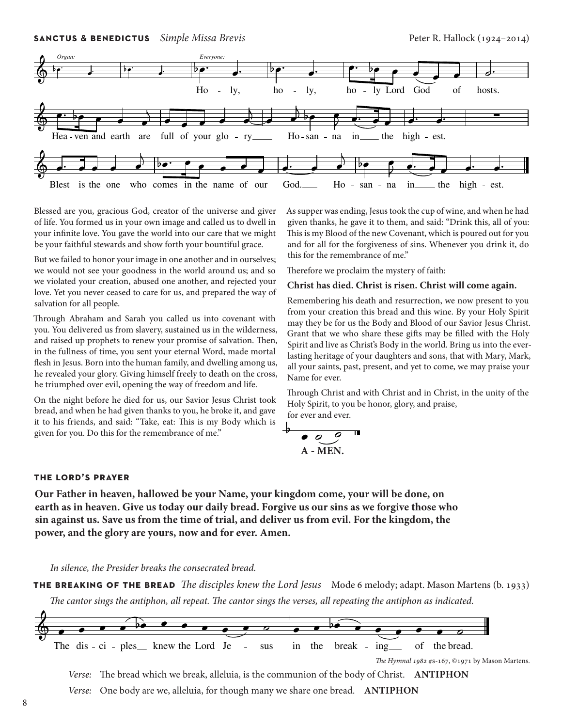# **SANCTUS & BENEDICTUS** *Simple Missa Brevis* **Peter R. Hallock (1924–2014)** Peter R. Hallock (1924–2014)



Blessed are you, gracious God, creator of the universe and giver of life. You formed us in your own image and called us to dwell in your infinite love. You gave the world into our care that we might be your faithful stewards and show forth your bountiful grace.

But we failed to honor your image in one another and in ourselves; we would not see your goodness in the world around us; and so we violated your creation, abused one another, and rejected your love. Yet you never ceased to care for us, and prepared the way of salvation for all people.

Through Abraham and Sarah you called us into covenant with you. You delivered us from slavery, sustained us in the wilderness, and raised up prophets to renew your promise of salvation. Then, in the fullness of time, you sent your eternal Word, made mortal flesh in Jesus. Born into the human family, and dwelling among us, he revealed your glory. Giving himself freely to death on the cross, he triumphed over evil, opening the way of freedom and life.

On the night before he died for us, our Savior Jesus Christ took bread, and when he had given thanks to you, he broke it, and gave it to his friends, and said: "Take, eat: This is my Body which is given for you. Do this for the remembrance of me."

As supper was ending, Jesus took the cup of wine, and when he had given thanks, he gave it to them, and said: "Drink this, all of you: This is my Blood of the new Covenant, which is poured out for you and for all for the forgiveness of sins. Whenever you drink it, do this for the remembrance of me." t<br>T

this for the remembrance of me.<br>Therefore we proclaim the mystery of faith:

# Christ has died. Christ is risen. Christ will come again.

Remembering his death and resurrection, we now present to you from your creation this bread and this wine. By your Holy Spirit from your creation this bread and this wine. By your Holy Spirit may they be for us the Body and Blood of our Savior Jesus Christ. Grant that we who share these gifts may be filled with the Holy Spirit and live as Christ's Body in the world. Bring us into the everlasting heritage of your daughters and sons, that with Mary, Mark, all your saints, past, present, and yet to come, we may praise your all your saints,<br>Name for ever.  $\frac{1}{2}$ 

Through Christ and with Christ and in Christ, in the unity of the Holy Spirit, to you be honor, glory, and praise, for ever and ever.



### **the lord's prayer**

**Our Father in heaven, hallowed be your Name, your kingdom come, your will be done, on earth as in heaven. Give us today our daily bread. Forgive us our sins as we forgive those who sin against us. Save us from the time of trial, and deliver us from evil. For the kingdom, the power, and the glory are yours, now and for ever. Amen.**

*In silence, the Presider breaks the consecrated bread.*

**the breaking of the bread** *The disciples knew the Lord Jesus* Mode 6 melody; adapt. Mason Martens (b. 1933) *The cantor sings the antiphon, all repeat. The cantor sings the verses, all repeating the antiphon as indicated.*



*Verse:* The bread which we break, alleluia, is the communion of the body of Christ. **ANTIPHON** *Verse:* One body are we, alleluia, for though many we share one bread. **ANTIPHON**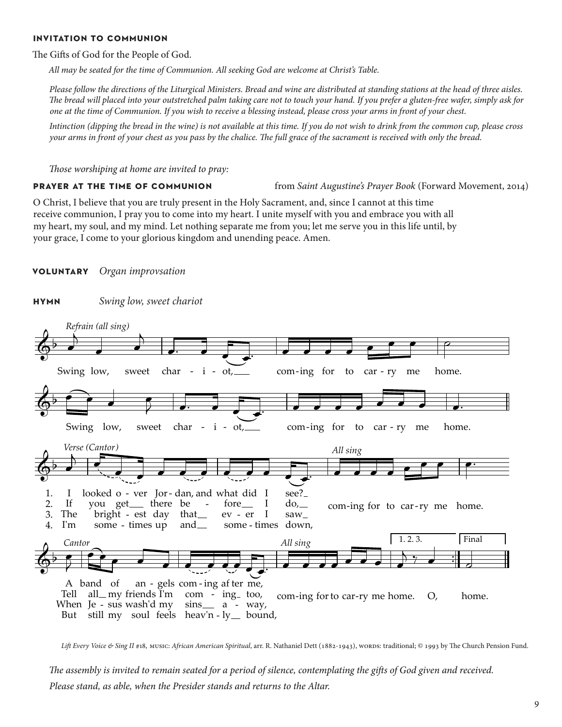# **invitation to communion**

# The Gifts of God for the People of God.

*All may be seated for the time of Communion. All seeking God are welcome at Christ's Table.* 

*Please follow the directions of the Liturgical Ministers. Bread and wine are distributed at standing stations at the head of three aisles. The bread will placed into your outstretched palm taking care not to touch your hand. If you prefer a gluten-free wafer, simply ask for one at the time of Communion. If you wish to receive a blessing instead, please cross your arms in front of your chest.*

*Intinction (dipping the bread in the wine) is not available at this time. If you do not wish to drink from the common cup, please cross your arms in front of your chest as you pass by the chalice. The full grace of the sacrament is received with only the bread.*

*Those worshiping at home are invited to pray:*

**PRAYER AT THE TIME OF COMMUNION** from *Saint Augustine's Prayer Book* (Forward Movement, 2014)

O Christ, I believe that you are truly present in the Holy Sacrament, and, since I cannot at this time receive communion, I pray you to come into my heart. I unite myself with you and embrace you with all my heart, my soul, and my mind. Let nothing separate me from you; let me serve you in this life until, by your grace, I come to your glorious kingdom and unending peace. Amen.

# **voluntary** *Organ improvsation*





Hymn 18 in LEVAS II, An African American Hymnal, Copyright 1993 by The Church Pension Fund Lift Every Voice & Sing II #18, MUSIC: African American Spiritual, arr. R. Nathaniel Dett (1882-1943), words: traditional; © 1993 by The Church Pension Fund.

*The assembly is invited to remain seated for a period of silence, contemplating the gifts of God given and received. Please stand, as able, when the Presider stands and returns to the Altar.*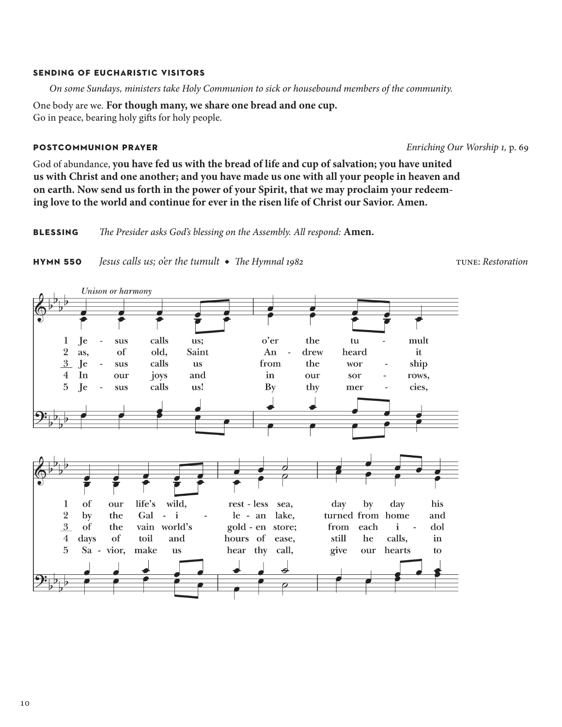# **sending of eucharistic visitors**

*On some Sundays, ministers take Holy Communion to sick or housebound members of the community.* 

One body are we. **For though many, we share one bread and one cup.** Go in peace, bearing holy gifts for holy people.

# **postcommunion prayer** *Enriching Our Worship 1,* p. 69

God of abundance, **you have fed us with the bread of life and cup of salvation; you have united us with Christ and one another; and you have made us one with all your people in heaven and on earth. Now send us forth in the power of your Spirit, that we may proclaim your redeeming love to the world and continue for ever in the risen life of Christ our Savior. Amen.**

**blessing** *The Presider asks God's blessing on the Assembly. All respond:* **Amen.**